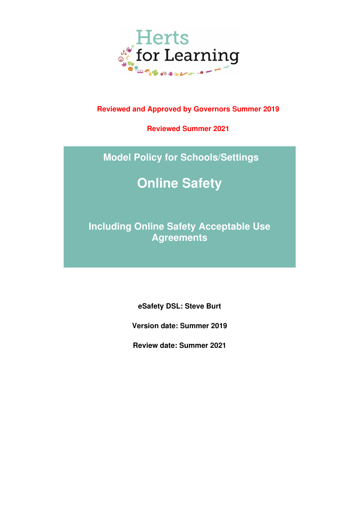

## **Reviewed and Approved by Governors Summer 2019**

**Reviewed Summer 2021** 

## **Model Policy for Schools/Settings**

# **Online Safety**

**Including Online Safety Acceptable Use Agreements** 

**eSafety DSL: Steve Burt** 

**Version date: Summer 2019** 

**Review date: Summer 2021**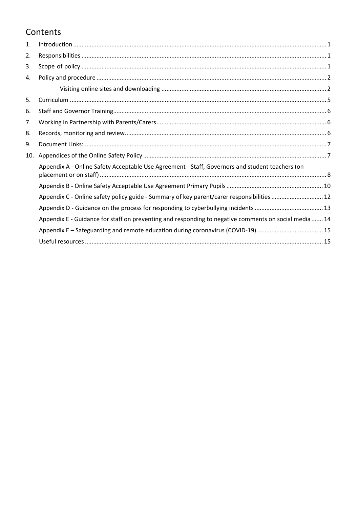## Contents

| 1. |                                                                                                       |
|----|-------------------------------------------------------------------------------------------------------|
| 2. |                                                                                                       |
| 3. |                                                                                                       |
| 4. |                                                                                                       |
|    |                                                                                                       |
| 5. |                                                                                                       |
| 6. |                                                                                                       |
| 7. |                                                                                                       |
| 8. |                                                                                                       |
| 9. |                                                                                                       |
|    |                                                                                                       |
|    | Appendix A - Online Safety Acceptable Use Agreement - Staff, Governors and student teachers (on       |
|    |                                                                                                       |
|    | Appendix C - Online safety policy guide - Summary of key parent/carer responsibilities  12            |
|    |                                                                                                       |
|    | Appendix E - Guidance for staff on preventing and responding to negative comments on social media  14 |
|    | Appendix E - Safeguarding and remote education during coronavirus (COVID-19)15                        |
|    |                                                                                                       |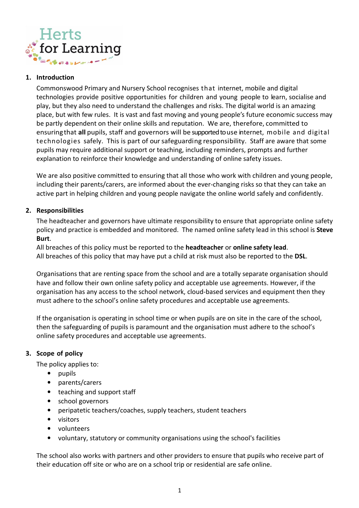

### **1. Introduction**

Commonswood Primary and Nursery School recognises that internet, mobile and digital technologies provide positive opportunities for children and young people to learn, socialise and play, but they also need to understand the challenges and risks. The digital world is an amazing place, but with few rules. It is vast and fast moving and young people's future economic success may be partly dependent on their online skills and reputation. We are, therefore, committed to ensuring that **all** pupils, staff and governors will be supported to use internet, mobile and digital technologies safely. This is part of our safeguarding responsibility. Staff are aware that some pupils may require additional support or teaching, including reminders, prompts and further explanation to reinforce their knowledge and understanding of online safety issues.

We are also positive committed to ensuring that all those who work with children and young people, including their parents/carers, are informed about the ever-changing risks so that they can take an active part in helping children and young people navigate the online world safely and confidently.

## **2. Responsibilities**

The headteacher and governors have ultimate responsibility to ensure that appropriate online safety policy and practice is embedded and monitored. The named online safety lead in this school is **Steve Burt**.

All breaches of this policy must be reported to the **headteacher** or **online safety lead**. All breaches of this policy that may have put a child at risk must also be reported to the **DSL**.

Organisations that are renting space from the school and are a totally separate organisation should have and follow their own online safety policy and acceptable use agreements. However, if the organisation has any access to the school network, cloud-based services and equipment then they must adhere to the school's online safety procedures and acceptable use agreements.

If the organisation is operating in school time or when pupils are on site in the care of the school, then the safeguarding of pupils is paramount and the organisation must adhere to the school's online safety procedures and acceptable use agreements.

#### **3. Scope of policy**

The policy applies to:

- pupils
- parents/carers
- teaching and support staff
- school governors
- peripatetic teachers/coaches, supply teachers, student teachers
- visitors
- volunteers
- voluntary, statutory or community organisations using the school's facilities

The school also works with partners and other providers to ensure that pupils who receive part of their education off site or who are on a school trip or residential are safe online.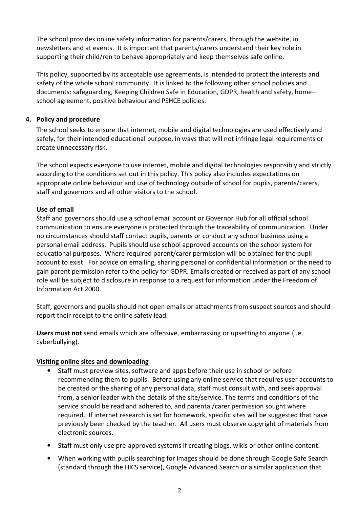The school provides online safety information for parents/carers, through the website, in newsletters and at events. It is important that parents/carers understand their key role in supporting their child/ren to behave appropriately and keep themselves safe online.

This policy, supported by its acceptable use agreements, is intended to protect the interests and safety of the whole school community. It is linked to the following other school policies and documents: safeguarding, Keeping Children Safe in Education, GDPR, health and safety, home– school agreement, positive behaviour and PSHCE policies.

## **4. Policy and procedure**

The school seeks to ensure that internet, mobile and digital technologies are used effectively and safely, for their intended educational purpose, in ways that will not infringe legal requirements or create unnecessary risk.

The school expects everyone to use internet, mobile and digital technologies responsibly and strictly according to the conditions set out in this policy. This policy also includes expectations on appropriate online behaviour and use of technology outside of school for pupils, parents/carers, staff and governors and all other visitors to the school.

## **Use of email**

Staff and governors should use a school email account or Governor Hub for all official school communication to ensure everyone is protected through the traceability of communication. Under no circumstances should staff contact pupils, parents or conduct any school business using a personal email address. Pupils should use school approved accounts on the school system for educational purposes. Where required parent/carer permission will be obtained for the pupil account to exist. For advice on emailing, sharing personal or confidential information or the need to gain parent permission refer to the policy for GDPR. Emails created or received as part of any school role will be subject to disclosure in response to a request for information under the Freedom of Information Act 2000.

Staff, governors and pupils should not open emails or attachments from suspect sources and should report their receipt to the online safety lead.

**Users must not** send emails which are offensive, embarrassing or upsetting to anyone (i.e. cyberbullying).

## **Visiting online sites and downloading**

- Staff must preview sites, software and apps before their use in school or before recommending them to pupils. Before using any online service that requires user accounts to be created or the sharing of any personal data, staff must consult with, and seek approval from, a senior leader with the details of the site/service. The terms and conditions of the service should be read and adhered to, and parental/carer permission sought where required. If internet research is set for homework, specific sites will be suggested that have previously been checked by the teacher. All users must observe copyright of materials from electronic sources.
- Staff must only use pre-approved systems if creating blogs, wikis or other online content.
- When working with pupils searching for images should be done through Google Safe Search (standard through the HICS service), Google Advanced Search or a similar application that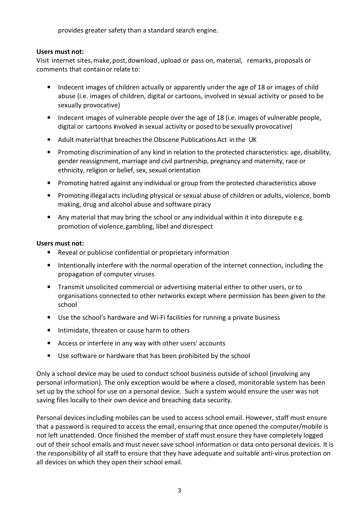provides greater safety than a standard search engine.

## **Users must not:**

Visit internet sites, make, post, download , upload or pass on, material, remarks, proposals or comments that contain or relate to:

- Indecent images of children actually or apparently under the age of 18 or images of child abuse (i.e. images of children, digital or cartoons, involved in sexual activity or posed to be sexually provocative)
- Indecent images of vulnerable people over the age of 18 (i.e. images of vulnerable people, digital or cartoons involved in sexual activity or posed to be sexually provocative)
- Adult material that breaches the Obscene Publications Act in the UK
- Promoting discrimination of any kind in relation to the protected characteristics: age, disability, gender reassignment, marriage and civil partnership, pregnancy and maternity, race or ethnicity, religion or belief, sex, sexual orientation
- Promoting hatred against any individual or group from the protected characteristics above
- Promoting illegal acts including physical or sexual abuse of children or adults, violence, bomb making, drug and alcohol abuse and software piracy
- Any material that may bring the school or any individual within it into disrepute e.g. promotion of violence, gambling, libel and disrespect

#### **Users must not:**

- Reveal or publicise confidential or proprietary information
- Intentionally interfere with the normal operation of the internet connection, including the propagation of computer viruses
- Transmit unsolicited commercial or advertising material either to other users, or to organisations connected to other networks except where permission has been given to the school
- Use the school's hardware and Wi-Fi facilities for running a private business
- Intimidate, threaten or cause harm to others
- Access or interfere in any way with other users' accounts
- Use software or hardware that has been prohibited by the school

Only a school device may be used to conduct school business outside of school (involving any personal information). The only exception would be where a closed, monitorable system has been set up by the school for use on a personal device. Such a system would ensure the user was not saving files locally to their own device and breaching data security.

Personal devices including mobiles can be used to access school email. However, staff must ensure that a password is required to access the email, ensuring that once opened the computer/mobile is not left unattended. Once finished the member of staff must ensure they have completely logged out of their school emails and must never save school information or data onto personal devices. It is the responsibility of all staff to ensure that they have adequate and suitable anti-virus protection on all devices on which they open their school email.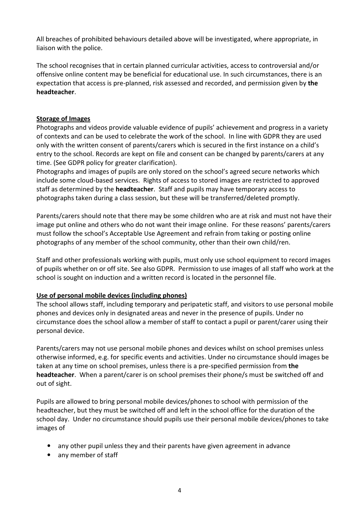All breaches of prohibited behaviours detailed above will be investigated, where appropriate, in liaison with the police.

The school recognises that in certain planned curricular activities, access to controversial and/or offensive online content may be beneficial for educational use. In such circumstances, there is an expectation that access is pre-planned, risk assessed and recorded, and permission given by **the headteacher**.

## **Storage of Images**

Photographs and videos provide valuable evidence of pupils' achievement and progress in a variety of contexts and can be used to celebrate the work of the school. In line with GDPR they are used only with the written consent of parents/carers which is secured in the first instance on a child's entry to the school. Records are kept on file and consent can be changed by parents/carers at any time. (See GDPR policy for greater clarification).

Photographs and images of pupils are only stored on the school's agreed secure networks which include some cloud-based services. Rights of access to stored images are restricted to approved staff as determined by the **headteacher**. Staff and pupils may have temporary access to photographs taken during a class session, but these will be transferred/deleted promptly.

Parents/carers should note that there may be some children who are at risk and must not have their image put online and others who do not want their image online. For these reasons' parents/carers must follow the school's Acceptable Use Agreement and refrain from taking or posting online photographs of any member of the school community, other than their own child/ren.

Staff and other professionals working with pupils, must only use school equipment to record images of pupils whether on or off site. See also GDPR. Permission to use images of all staff who work at the school is sought on induction and a written record is located in the personnel file.

## **Use of personal mobile devices (including phones)**

The school allows staff, including temporary and peripatetic staff, and visitors to use personal mobile phones and devices only in designated areas and never in the presence of pupils. Under no circumstance does the school allow a member of staff to contact a pupil or parent/carer using their personal device.

Parents/carers may not use personal mobile phones and devices whilst on school premises unless otherwise informed, e.g. for specific events and activities. Under no circumstance should images be taken at any time on school premises, unless there is a pre-specified permission from **the headteacher**. When a parent/carer is on school premises their phone/s must be switched off and out of sight.

Pupils are allowed to bring personal mobile devices/phones to school with permission of the headteacher, but they must be switched off and left in the school office for the duration of the school day. Under no circumstance should pupils use their personal mobile devices/phones to take images of

- any other pupil unless they and their parents have given agreement in advance
- any member of staff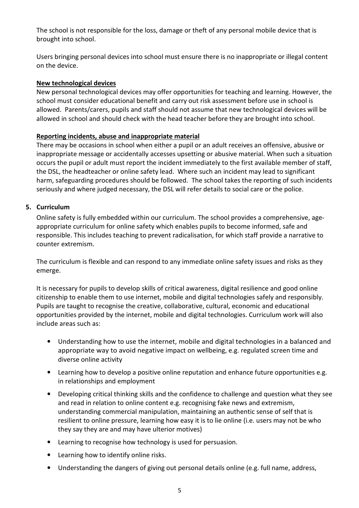The school is not responsible for the loss, damage or theft of any personal mobile device that is brought into school.

Users bringing personal devices into school must ensure there is no inappropriate or illegal content on the device.

## **New technological devices**

New personal technological devices may offer opportunities for teaching and learning. However, the school must consider educational benefit and carry out risk assessment before use in school is allowed. Parents/carers, pupils and staff should not assume that new technological devices will be allowed in school and should check with the head teacher before they are brought into school.

## **Reporting incidents, abuse and inappropriate material**

There may be occasions in school when either a pupil or an adult receives an offensive, abusive or inappropriate message or accidentally accesses upsetting or abusive material. When such a situation occurs the pupil or adult must report the incident immediately to the first available member of staff, the DSL, the headteacher or online safety lead. Where such an incident may lead to significant harm, safeguarding procedures should be followed. The school takes the reporting of such incidents seriously and where judged necessary, the DSL will refer details to social care or the police.

## **5. Curriculum**

Online safety is fully embedded within our curriculum. The school provides a comprehensive, ageappropriate curriculum for online safety which enables pupils to become informed, safe and responsible. This includes teaching to prevent radicalisation, for which staff provide a narrative to counter extremism.

The curriculum is flexible and can respond to any immediate online safety issues and risks as they emerge.

It is necessary for pupils to develop skills of critical awareness, digital resilience and good online citizenship to enable them to use internet, mobile and digital technologies safely and responsibly. Pupils are taught to recognise the creative, collaborative, cultural, economic and educational opportunities provided by the internet, mobile and digital technologies. Curriculum work will also include areas such as:

- Understanding how to use the internet, mobile and digital technologies in a balanced and appropriate way to avoid negative impact on wellbeing, e.g. regulated screen time and diverse online activity
- Learning how to develop a positive online reputation and enhance future opportunities e.g. in relationships and employment
- Developing critical thinking skills and the confidence to challenge and question what they see and read in relation to online content e.g. recognising fake news and extremism, understanding commercial manipulation, maintaining an authentic sense of self that is resilient to online pressure, learning how easy it is to lie online (i.e. users may not be who they say they are and may have ulterior motives)
- Learning to recognise how technology is used for persuasion.
- Learning how to identify online risks.
- Understanding the dangers of giving out personal details online (e.g. full name, address,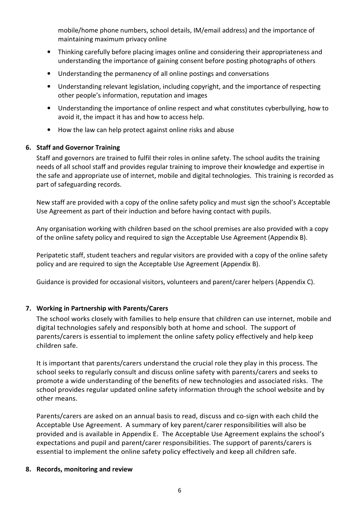mobile/home phone numbers, school details, IM/email address) and the importance of maintaining maximum privacy online

- Thinking carefully before placing images online and considering their appropriateness and understanding the importance of gaining consent before posting photographs of others
- Understanding the permanency of all online postings and conversations
- Understanding relevant legislation, including copyright, and the importance of respecting other people's information, reputation and images
- Understanding the importance of online respect and what constitutes cyberbullying, how to avoid it, the impact it has and how to access help.
- How the law can help protect against online risks and abuse

## **6. Staff and Governor Training**

Staff and governors are trained to fulfil their roles in online safety. The school audits the training needs of all school staff and provides regular training to improve their knowledge and expertise in the safe and appropriate use of internet, mobile and digital technologies. This training is recorded as part of safeguarding records.

New staff are provided with a copy of the online safety policy and must sign the school's Acceptable Use Agreement as part of their induction and before having contact with pupils.

Any organisation working with children based on the school premises are also provided with a copy of the online safety policy and required to sign the Acceptable Use Agreement (Appendix B).

Peripatetic staff, student teachers and regular visitors are provided with a copy of the online safety policy and are required to sign the Acceptable Use Agreement (Appendix B).

Guidance is provided for occasional visitors, volunteers and parent/carer helpers (Appendix C).

## **7. Working in Partnership with Parents/Carers**

The school works closely with families to help ensure that children can use internet, mobile and digital technologies safely and responsibly both at home and school. The support of parents/carers is essential to implement the online safety policy effectively and help keep children safe.

It is important that parents/carers understand the crucial role they play in this process. The school seeks to regularly consult and discuss online safety with parents/carers and seeks to promote a wide understanding of the benefits of new technologies and associated risks. The school provides regular updated online safety information through the school website and by other means.

Parents/carers are asked on an annual basis to read, discuss and co-sign with each child the Acceptable Use Agreement. A summary of key parent/carer responsibilities will also be provided and is available in Appendix E. The Acceptable Use Agreement explains the school's expectations and pupil and parent/carer responsibilities. The support of parents/carers is essential to implement the online safety policy effectively and keep all children safe.

#### **8. Records, monitoring and review**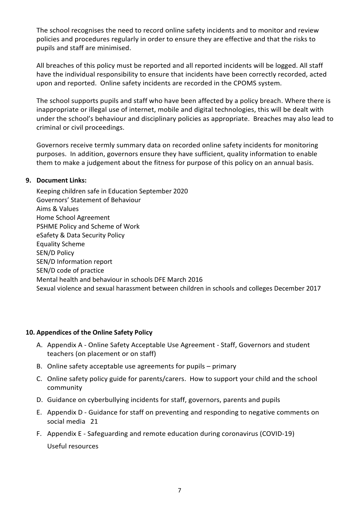The school recognises the need to record online safety incidents and to monitor and review policies and procedures regularly in order to ensure they are effective and that the risks to pupils and staff are minimised.

All breaches of this policy must be reported and all reported incidents will be logged. All staff have the individual responsibility to ensure that incidents have been correctly recorded, acted upon and reported. Online safety incidents are recorded in the CPOMS system.

The school supports pupils and staff who have been affected by a policy breach. Where there is inappropriate or illegal use of internet, mobile and digital technologies, this will be dealt with under the school's behaviour and disciplinary policies as appropriate. Breaches may also lead to criminal or civil proceedings.

Governors receive termly summary data on recorded online safety incidents for monitoring purposes. In addition, governors ensure they have sufficient, quality information to enable them to make a judgement about the fitness for purpose of this policy on an annual basis.

## **9. Document Links:**

Keeping children safe in Education September 2020 Governors' Statement of Behaviour Aims & Values Home School Agreement PSHME Policy and Scheme of Work eSafety & Data Security Policy Equality Scheme SEN/D Policy SEN/D Information report SEN/D code of practice Mental health and behaviour in schools DFE March 2016 Sexual violence and sexual harassment between children in schools and colleges December 2017

## **10. Appendices of the Online Safety Policy**

- A. Appendix A Online Safety Acceptable Use Agreement Staff, Governors and student teachers (on placement or on staff)
- B. Online safety acceptable use agreements for pupils primary
- C. Online safety policy guide for parents/carers. How to support your child and the school community
- D. Guidance on cyberbullying incidents for staff, governors, parents and pupils
- E. Appendix D Guidance for staff on preventing and responding to negative comments on social media 21
- F. Appendix E Safeguarding and remote education during coronavirus (COVID-19) Useful resources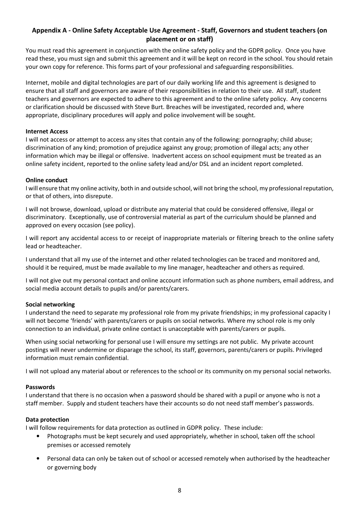## **Appendix A - Online Safety Acceptable Use Agreement - Staff, Governors and student teachers (on placement or on staff)**

You must read this agreement in conjunction with the online safety policy and the GDPR policy. Once you have read these, you must sign and submit this agreement and it will be kept on record in the school. You should retain your own copy for reference. This forms part of your professional and safeguarding responsibilities.

Internet, mobile and digital technologies are part of our daily working life and this agreement is designed to ensure that all staff and governors are aware of their responsibilities in relation to their use. All staff, student teachers and governors are expected to adhere to this agreement and to the online safety policy. Any concerns or clarification should be discussed with Steve Burt. Breaches will be investigated, recorded and, where appropriate, disciplinary procedures will apply and police involvement will be sought.

#### **Internet Access**

I will not access or attempt to access any sites that contain any of the following: pornography; child abuse; discrimination of any kind; promotion of prejudice against any group; promotion of illegal acts; any other information which may be illegal or offensive. Inadvertent access on school equipment must be treated as an online safety incident, reported to the online safety lead and/or DSL and an incident report completed.

#### **Online conduct**

I will ensure that my online activity, both in and outside school, will not bring the school, my professional reputation, or that of others, into disrepute.

I will not browse, download, upload or distribute any material that could be considered offensive, illegal or discriminatory. Exceptionally, use of controversial material as part of the curriculum should be planned and approved on every occasion (see policy).

I will report any accidental access to or receipt of inappropriate materials or filtering breach to the online safety lead or headteacher.

I understand that all my use of the internet and other related technologies can be traced and monitored and, should it be required, must be made available to my line manager, headteacher and others as required.

I will not give out my personal contact and online account information such as phone numbers, email address, and social media account details to pupils and/or parents/carers.

#### **Social networking**

I understand the need to separate my professional role from my private friendships; in my professional capacity I will not become 'friends' with parents/carers or pupils on social networks. Where my school role is my only connection to an individual, private online contact is unacceptable with parents/carers or pupils.

When using social networking for personal use I will ensure my settings are not public. My private account postings will never undermine or disparage the school, its staff, governors, parents/carers or pupils. Privileged information must remain confidential.

I will not upload any material about or references to the school or its community on my personal social networks.

#### **Passwords**

I understand that there is no occasion when a password should be shared with a pupil or anyone who is not a staff member. Supply and student teachers have their accounts so do not need staff member's passwords.

#### **Data protection**

I will follow requirements for data protection as outlined in GDPR policy. These include:

- Photographs must be kept securely and used appropriately, whether in school, taken off the school premises or accessed remotely
- Personal data can only be taken out of school or accessed remotely when authorised by the headteacher or governing body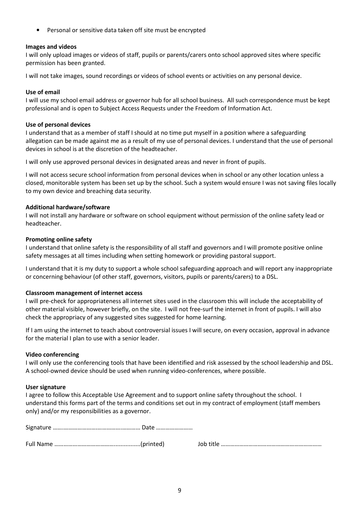• Personal or sensitive data taken off site must be encrypted

#### **Images and videos**

I will only upload images or videos of staff, pupils or parents/carers onto school approved sites where specific permission has been granted.

I will not take images, sound recordings or videos of school events or activities on any personal device.

#### **Use of email**

I will use my school email address or governor hub for all school business. All such correspondence must be kept professional and is open to Subject Access Requests under the Freedom of Information Act.

#### **Use of personal devices**

I understand that as a member of staff I should at no time put myself in a position where a safeguarding allegation can be made against me as a result of my use of personal devices. I understand that the use of personal devices in school is at the discretion of the headteacher.

I will only use approved personal devices in designated areas and never in front of pupils.

I will not access secure school information from personal devices when in school or any other location unless a closed, monitorable system has been set up by the school. Such a system would ensure I was not saving files locally to my own device and breaching data security.

#### **Additional hardware/software**

I will not install any hardware or software on school equipment without permission of the online safety lead or headteacher.

#### **Promoting online safety**

I understand that online safety is the responsibility of all staff and governors and I will promote positive online safety messages at all times including when setting homework or providing pastoral support.

I understand that it is my duty to support a whole school safeguarding approach and will report any inappropriate or concerning behaviour (of other staff, governors, visitors, pupils or parents/carers) to a DSL.

#### **Classroom management of internet access**

I will pre-check for appropriateness all internet sites used in the classroom this will include the acceptability of other material visible, however briefly, on the site. I will not free-surf the internet in front of pupils. I will also check the appropriacy of any suggested sites suggested for home learning.

If I am using the internet to teach about controversial issues I will secure, on every occasion, approval in advance for the material I plan to use with a senior leader.

#### **Video conferencing**

I will only use the conferencing tools that have been identified and risk assessed by the school leadership and DSL. A school-owned device should be used when running video-conferences, where possible.

#### **User signature**

I agree to follow this Acceptable Use Agreement and to support online safety throughout the school. I understand this forms part of the terms and conditions set out in my contract of employment (staff members only) and/or my responsibilities as a governor.

Full Name …………………………………................(printed) Job title …………………………………………………………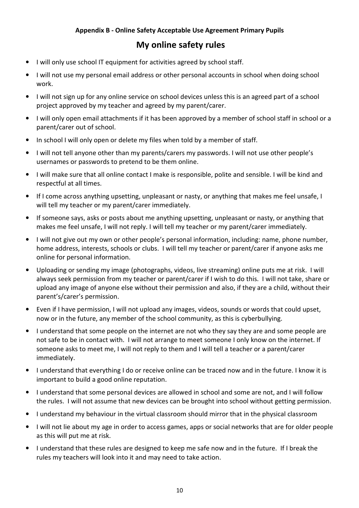## **Appendix B - Online Safety Acceptable Use Agreement Primary Pupils**

## **My online safety rules**

- I will only use school IT equipment for activities agreed by school staff.
- I will not use my personal email address or other personal accounts in school when doing school work.
- I will not sign up for any online service on school devices unless this is an agreed part of a school project approved by my teacher and agreed by my parent/carer.
- I will only open email attachments if it has been approved by a member of school staff in school or a parent/carer out of school.
- In school I will only open or delete my files when told by a member of staff.
- I will not tell anyone other than my parents/carers my passwords. I will not use other people's usernames or passwords to pretend to be them online.
- I will make sure that all online contact I make is responsible, polite and sensible. I will be kind and respectful at all times.
- If I come across anything upsetting, unpleasant or nasty, or anything that makes me feel unsafe, I will tell my teacher or my parent/carer immediately.
- If someone says, asks or posts about me anything upsetting, unpleasant or nasty, or anything that makes me feel unsafe, I will not reply. I will tell my teacher or my parent/carer immediately.
- I will not give out my own or other people's personal information, including: name, phone number, home address, interests, schools or clubs. I will tell my teacher or parent/carer if anyone asks me online for personal information.
- Uploading or sending my image (photographs, videos, live streaming) online puts me at risk. I will always seek permission from my teacher or parent/carer if I wish to do this. I will not take, share or upload any image of anyone else without their permission and also, if they are a child, without their parent's/carer's permission.
- Even if I have permission, I will not upload any images, videos, sounds or words that could upset, now or in the future, any member of the school community, as this is cyberbullying.
- I understand that some people on the internet are not who they say they are and some people are not safe to be in contact with. I will not arrange to meet someone I only know on the internet. If someone asks to meet me, I will not reply to them and I will tell a teacher or a parent/carer immediately.
- I understand that everything I do or receive online can be traced now and in the future. I know it is important to build a good online reputation.
- I understand that some personal devices are allowed in school and some are not, and I will follow the rules. I will not assume that new devices can be brought into school without getting permission.
- I understand my behaviour in the virtual classroom should mirror that in the physical classroom
- I will not lie about my age in order to access games, apps or social networks that are for older people as this will put me at risk.
- I understand that these rules are designed to keep me safe now and in the future. If I break the rules my teachers will look into it and may need to take action.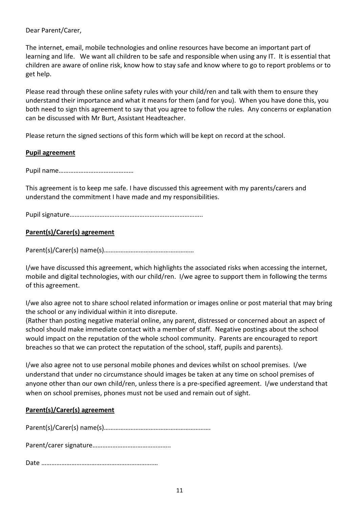Dear Parent/Carer,

The internet, email, mobile technologies and online resources have become an important part of learning and life. We want all children to be safe and responsible when using any IT. It is essential that children are aware of online risk, know how to stay safe and know where to go to report problems or to get help.

Please read through these online safety rules with your child/ren and talk with them to ensure they understand their importance and what it means for them (and for you). When you have done this, you both need to sign this agreement to say that you agree to follow the rules. Any concerns or explanation can be discussed with Mr Burt, Assistant Headteacher.

Please return the signed sections of this form which will be kept on record at the school.

## **Pupil agreement**

Pupil name………………………………………

This agreement is to keep me safe. I have discussed this agreement with my parents/carers and understand the commitment I have made and my responsibilities.

Pupil signature……………………………………………………………………..

## **Parent(s)/Carer(s) agreement**

Parent(s)/Carer(s) name(s)………………………………………………

I/we have discussed this agreement, which highlights the associated risks when accessing the internet, mobile and digital technologies, with our child/ren. I/we agree to support them in following the terms of this agreement.

I/we also agree not to share school related information or images online or post material that may bring the school or any individual within it into disrepute.

(Rather than posting negative material online, any parent, distressed or concerned about an aspect of school should make immediate contact with a member of staff. Negative postings about the school would impact on the reputation of the whole school community. Parents are encouraged to report breaches so that we can protect the reputation of the school, staff, pupils and parents).

I/we also agree not to use personal mobile phones and devices whilst on school premises. I/we understand that under no circumstance should images be taken at any time on school premises of anyone other than our own child/ren, unless there is a pre-specified agreement. I/we understand that when on school premises, phones must not be used and remain out of sight.

## **Parent(s)/Carer(s) agreement**

Parent(s)/Carer(s) name(s)……………………………………………………….

Parent/carer signature………………………………………..

Date ………………………………………………………….…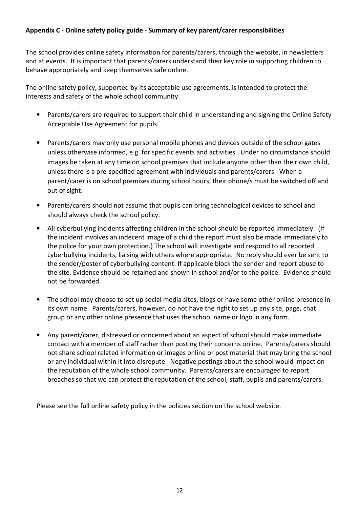## **Appendix C - Online safety policy guide - Summary of key parent/carer responsibilities**

The school provides online safety information for parents/carers, through the website, in newsletters and at events. It is important that parents/carers understand their key role in supporting children to behave appropriately and keep themselves safe online.

The online safety policy, supported by its acceptable use agreements, is intended to protect the interests and safety of the whole school community.

- Parents/carers are required to support their child in understanding and signing the Online Safety Acceptable Use Agreement for pupils.
- Parents/carers may only use personal mobile phones and devices outside of the school gates unless otherwise informed, e.g. for specific events and activities. Under no circumstance should images be taken at any time on school premises that include anyone other than their own child, unless there is a pre-specified agreement with individuals and parents/carers. When a parent/carer is on school premises during school hours, their phone/s must be switched off and out of sight.
- Parents/carers should not assume that pupils can bring technological devices to school and should always check the school policy.
- All cyberbullying incidents affecting children in the school should be reported immediately. (If the incident involves an indecent image of a child the report must also be made immediately to the police for your own protection.) The school will investigate and respond to all reported cyberbullying incidents, liaising with others where appropriate. No reply should ever be sent to the sender/poster of cyberbullying content. If applicable block the sender and report abuse to the site. Evidence should be retained and shown in school and/or to the police. Evidence should not be forwarded.
- The school may choose to set up social media sites, blogs or have some other online presence in its own name. Parents/carers, however, do not have the right to set up any site, page, chat group or any other online presence that uses the school name or logo in any form.
- Any parent/carer, distressed or concerned about an aspect of school should make immediate contact with a member of staff rather than posting their concerns online. Parents/carers should not share school related information or images online or post material that may bring the school or any individual within it into disrepute. Negative postings about the school would impact on the reputation of the whole school community. Parents/carers are encouraged to report breaches so that we can protect the reputation of the school, staff, pupils and parents/carers.

Please see the full online safety policy in the policies section on the school website.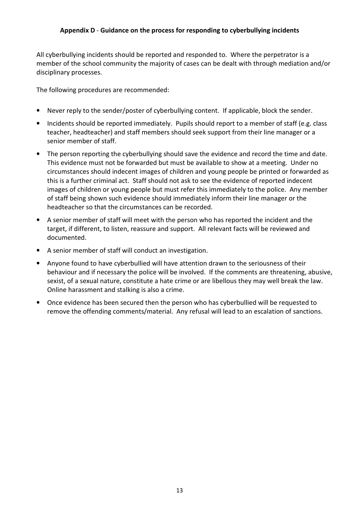## **Appendix D** - **Guidance on the process for responding to cyberbullying incidents**

All cyberbullying incidents should be reported and responded to. Where the perpetrator is a member of the school community the majority of cases can be dealt with through mediation and/or disciplinary processes.

The following procedures are recommended:

- Never reply to the sender/poster of cyberbullying content. If applicable, block the sender.
- Incidents should be reported immediately. Pupils should report to a member of staff (e.g. class teacher, headteacher) and staff members should seek support from their line manager or a senior member of staff.
- The person reporting the cyberbullying should save the evidence and record the time and date. This evidence must not be forwarded but must be available to show at a meeting. Under no circumstances should indecent images of children and young people be printed or forwarded as this is a further criminal act. Staff should not ask to see the evidence of reported indecent images of children or young people but must refer this immediately to the police. Any member of staff being shown such evidence should immediately inform their line manager or the headteacher so that the circumstances can be recorded.
- A senior member of staff will meet with the person who has reported the incident and the target, if different, to listen, reassure and support. All relevant facts will be reviewed and documented.
- A senior member of staff will conduct an investigation.
- Anyone found to have cyberbullied will have attention drawn to the seriousness of their behaviour and if necessary the police will be involved. If the comments are threatening, abusive, sexist, of a sexual nature, constitute a hate crime or are libellous they may well break the law. Online harassment and stalking is also a crime.
- Once evidence has been secured then the person who has cyberbullied will be requested to remove the offending comments/material. Any refusal will lead to an escalation of sanctions.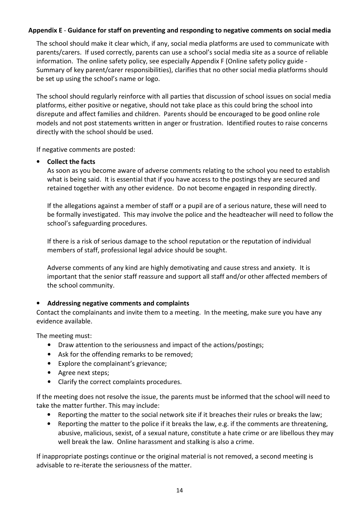## **Appendix E** - **Guidance for staff on preventing and responding to negative comments on social media**

The school should make it clear which, if any, social media platforms are used to communicate with parents/carers. If used correctly, parents can use a school's social media site as a source of reliable information. The online safety policy, see especially Appendix F (Online safety policy guide - Summary of key parent/carer responsibilities), clarifies that no other social media platforms should be set up using the school's name or logo.

The school should regularly reinforce with all parties that discussion of school issues on social media platforms, either positive or negative, should not take place as this could bring the school into disrepute and affect families and children. Parents should be encouraged to be good online role models and not post statements written in anger or frustration. Identified routes to raise concerns directly with the school should be used.

If negative comments are posted:

## • **Collect the facts**

As soon as you become aware of adverse comments relating to the school you need to establish what is being said. It is essential that if you have access to the postings they are secured and retained together with any other evidence. Do not become engaged in responding directly.

If the allegations against a member of staff or a pupil are of a serious nature, these will need to be formally investigated. This may involve the police and the headteacher will need to follow the school's safeguarding procedures.

If there is a risk of serious damage to the school reputation or the reputation of individual members of staff, professional legal advice should be sought.

Adverse comments of any kind are highly demotivating and cause stress and anxiety. It is important that the senior staff reassure and support all staff and/or other affected members of the school community.

## • **Addressing negative comments and complaints**

Contact the complainants and invite them to a meeting. In the meeting, make sure you have any evidence available.

The meeting must:

- Draw attention to the seriousness and impact of the actions/postings;
- Ask for the offending remarks to be removed;
- Explore the complainant's grievance;
- Agree next steps;
- Clarify the correct complaints procedures.

If the meeting does not resolve the issue, the parents must be informed that the school will need to take the matter further. This may include:

- Reporting the matter to the social network site if it breaches their rules or breaks the law;
- Reporting the matter to the police if it breaks the law, e.g. if the comments are threatening, abusive, malicious, sexist, of a sexual nature, constitute a hate crime or are libellous they may well break the law. Online harassment and stalking is also a crime.

If inappropriate postings continue or the original material is not removed, a second meeting is advisable to re-iterate the seriousness of the matter.